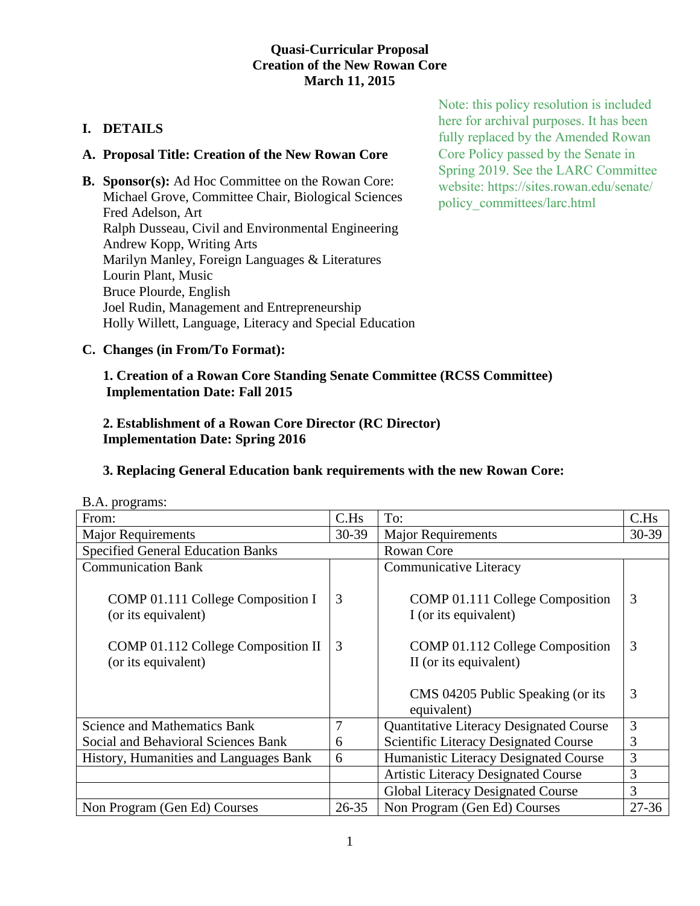## **Quasi-Curricular Proposal Creation of the New Rowan Core March 11, 2015**

## **I. DETAILS**

#### **A. Proposal Title: Creation of the New Rowan Core**

**B. Sponsor(s):** Ad Hoc Committee on the Rowan Core: Michael Grove, Committee Chair, Biological Sciences Fred Adelson, Art Ralph Dusseau, Civil and Environmental Engineering Andrew Kopp, Writing Arts Marilyn Manley, Foreign Languages & Literatures Lourin Plant, Music Bruce Plourde, English Joel Rudin, Management and Entrepreneurship Holly Willett, Language, Literacy and Special Education

Note: this policy resolution is included here for archival purposes. It has been fully replaced by the Amended Rowan Core Policy passed by the Senate in Spring 2019. See the LARC Committee website: https://sites.rowan.edu/senate/ policy\_committees/larc.html

**C. Changes (in From/To Format):**

## **1. Creation of a Rowan Core Standing Senate Committee (RCSS Committee) Implementation Date: Fall 2015**

## **2. Establishment of a Rowan Core Director (RC Director) Implementation Date: Spring 2016**

## **3. Replacing General Education bank requirements with the new Rowan Core:**

| $D.T.$ programs.                                         |           |                                                                            |           |
|----------------------------------------------------------|-----------|----------------------------------------------------------------------------|-----------|
| From:                                                    | C.Hs      | To:                                                                        | C.Hs      |
| <b>Major Requirements</b>                                | $30 - 39$ | <b>Major Requirements</b>                                                  | 30-39     |
| <b>Specified General Education Banks</b>                 |           | Rowan Core                                                                 |           |
| <b>Communication Bank</b>                                |           | Communicative Literacy                                                     |           |
| COMP 01.111 College Composition I<br>(or its equivalent) | 3         | COMP 01.111 College Composition<br>I (or its equivalent)                   | 3         |
| COMP 01.112 College Composition II                       | 3         | COMP 01.112 College Composition                                            | 3         |
| (or its equivalent)                                      |           | II (or its equivalent)<br>CMS 04205 Public Speaking (or its<br>equivalent) | 3         |
| <b>Science and Mathematics Bank</b>                      | 7         | <b>Quantitative Literacy Designated Course</b>                             | 3         |
| Social and Behavioral Sciences Bank                      | 6         | <b>Scientific Literacy Designated Course</b>                               | 3         |
| History, Humanities and Languages Bank                   | 6         | Humanistic Literacy Designated Course                                      | 3         |
|                                                          |           | <b>Artistic Literacy Designated Course</b>                                 | 3         |
|                                                          |           | Global Literacy Designated Course                                          | 3         |
| Non Program (Gen Ed) Courses                             | $26 - 35$ | Non Program (Gen Ed) Courses                                               | $27 - 36$ |

 $R \Delta$  programs: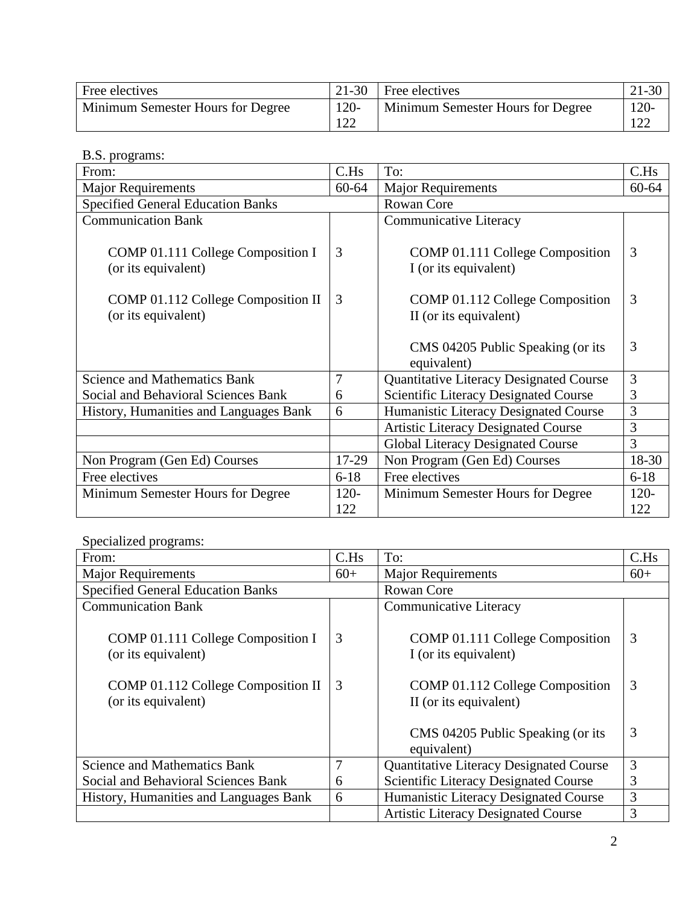| Free electives                    | 21-30          | Free electives                    | $21-30$ |
|-----------------------------------|----------------|-----------------------------------|---------|
| Minimum Semester Hours for Degree | $120 -$<br>122 | Minimum Semester Hours for Degree | $120 -$ |

# B.S. programs:

| $\mathbf{L}$ . $\mathbf{L}$ . $\mathbf{L}$ . $\mathbf{L}$ . $\mathbf{L}$ . $\mathbf{L}$ . $\mathbf{L}$ . $\mathbf{L}$ . $\mathbf{L}$ . $\mathbf{L}$ . $\mathbf{L}$ . $\mathbf{L}$ . $\mathbf{L}$ . $\mathbf{L}$ . $\mathbf{L}$ . $\mathbf{L}$ . $\mathbf{L}$ . $\mathbf{L}$ . $\mathbf{L}$ . $\mathbf{L}$ . $\mathbf{L}$ . $\mathbf{L}$ .<br>From: | C.Hs           | To:                                                       | C.Hs           |
|----------------------------------------------------------------------------------------------------------------------------------------------------------------------------------------------------------------------------------------------------------------------------------------------------------------------------------------------------|----------------|-----------------------------------------------------------|----------------|
| <b>Major Requirements</b>                                                                                                                                                                                                                                                                                                                          | $60 - 64$      | <b>Major Requirements</b>                                 | 60-64          |
| <b>Specified General Education Banks</b>                                                                                                                                                                                                                                                                                                           |                | <b>Rowan Core</b>                                         |                |
| <b>Communication Bank</b>                                                                                                                                                                                                                                                                                                                          |                | Communicative Literacy                                    |                |
| COMP 01.111 College Composition I<br>(or its equivalent)                                                                                                                                                                                                                                                                                           | 3              | COMP 01.111 College Composition<br>I (or its equivalent)  | 3              |
| COMP 01.112 College Composition II<br>(or its equivalent)                                                                                                                                                                                                                                                                                          | 3              | COMP 01.112 College Composition<br>II (or its equivalent) | 3              |
|                                                                                                                                                                                                                                                                                                                                                    |                | CMS 04205 Public Speaking (or its<br>equivalent)          | 3              |
| <b>Science and Mathematics Bank</b>                                                                                                                                                                                                                                                                                                                | $\overline{7}$ | Quantitative Literacy Designated Course                   | 3              |
| Social and Behavioral Sciences Bank                                                                                                                                                                                                                                                                                                                | 6              | <b>Scientific Literacy Designated Course</b>              | 3              |
| History, Humanities and Languages Bank                                                                                                                                                                                                                                                                                                             | 6              | Humanistic Literacy Designated Course                     | 3              |
|                                                                                                                                                                                                                                                                                                                                                    |                | <b>Artistic Literacy Designated Course</b>                | 3              |
|                                                                                                                                                                                                                                                                                                                                                    |                | <b>Global Literacy Designated Course</b>                  | 3              |
| Non Program (Gen Ed) Courses                                                                                                                                                                                                                                                                                                                       | 17-29          | Non Program (Gen Ed) Courses                              | 18-30          |
| Free electives                                                                                                                                                                                                                                                                                                                                     | $6 - 18$       | Free electives                                            | $6 - 18$       |
| Minimum Semester Hours for Degree                                                                                                                                                                                                                                                                                                                  | $120 -$<br>122 | Minimum Semester Hours for Degree                         | $120 -$<br>122 |

# Specialized programs:

| From:                                                     | C.Hs  | To:                                                       | C.Hs  |
|-----------------------------------------------------------|-------|-----------------------------------------------------------|-------|
| <b>Major Requirements</b>                                 | $60+$ | <b>Major Requirements</b>                                 | $60+$ |
| <b>Specified General Education Banks</b>                  |       | <b>Rowan Core</b>                                         |       |
| <b>Communication Bank</b>                                 |       | <b>Communicative Literacy</b>                             |       |
| COMP 01.111 College Composition I<br>(or its equivalent)  | 3     | COMP 01.111 College Composition<br>I (or its equivalent)  | 3     |
| COMP 01.112 College Composition II<br>(or its equivalent) | 3     | COMP 01.112 College Composition<br>II (or its equivalent) | 3     |
|                                                           |       | CMS 04205 Public Speaking (or its<br>equivalent)          | 3     |
| <b>Science and Mathematics Bank</b>                       | 7     | Quantitative Literacy Designated Course                   | 3     |
| Social and Behavioral Sciences Bank                       | 6     | <b>Scientific Literacy Designated Course</b>              | 3     |
| History, Humanities and Languages Bank                    | 6     | Humanistic Literacy Designated Course                     | 3     |
|                                                           |       | <b>Artistic Literacy Designated Course</b>                | 3     |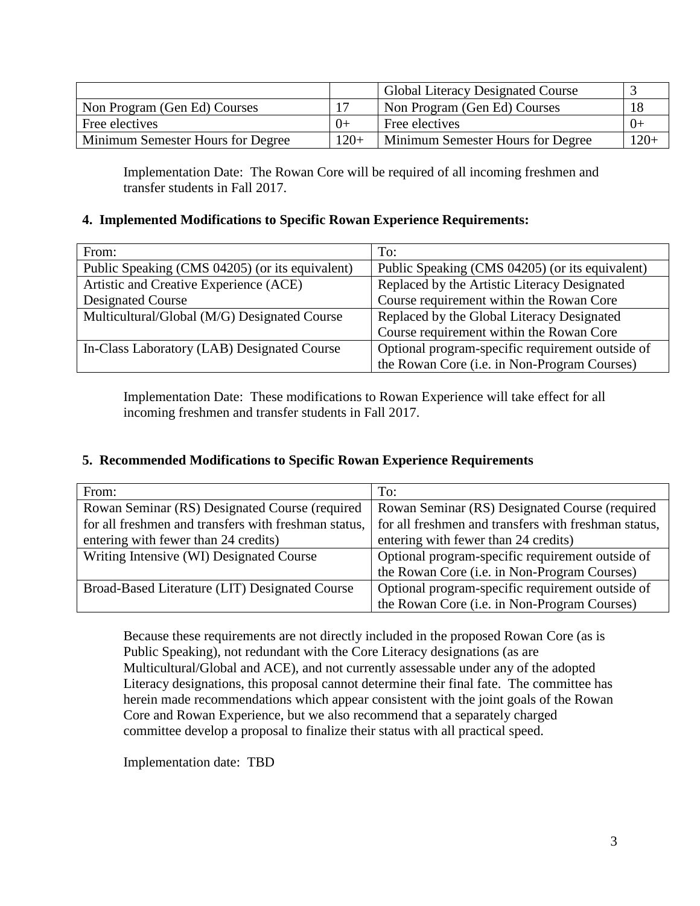|                                   |        | <b>Global Literacy Designated Course</b> |        |
|-----------------------------------|--------|------------------------------------------|--------|
| Non Program (Gen Ed) Courses      |        | Non Program (Gen Ed) Courses             | -18    |
| Free electives                    | $() +$ | Free electives                           |        |
| Minimum Semester Hours for Degree | $120+$ | Minimum Semester Hours for Degree        | $120+$ |

Implementation Date: The Rowan Core will be required of all incoming freshmen and transfer students in Fall 2017.

#### **4. Implemented Modifications to Specific Rowan Experience Requirements:**

| From:                                           | To:                                                  |
|-------------------------------------------------|------------------------------------------------------|
| Public Speaking (CMS 04205) (or its equivalent) | Public Speaking (CMS 04205) (or its equivalent)      |
| Artistic and Creative Experience (ACE)          | Replaced by the Artistic Literacy Designated         |
| <b>Designated Course</b>                        | Course requirement within the Rowan Core             |
| Multicultural/Global (M/G) Designated Course    | Replaced by the Global Literacy Designated           |
|                                                 | Course requirement within the Rowan Core             |
| In-Class Laboratory (LAB) Designated Course     | Optional program-specific requirement outside of     |
|                                                 | the Rowan Core ( <i>i.e.</i> in Non-Program Courses) |

Implementation Date: These modifications to Rowan Experience will take effect for all incoming freshmen and transfer students in Fall 2017.

## **5. Recommended Modifications to Specific Rowan Experience Requirements**

| From:                                                | To:                                                  |
|------------------------------------------------------|------------------------------------------------------|
| Rowan Seminar (RS) Designated Course (required       | Rowan Seminar (RS) Designated Course (required       |
| for all freshmen and transfers with freshman status, | for all freshmen and transfers with freshman status, |
| entering with fewer than 24 credits)                 | entering with fewer than 24 credits)                 |
| Writing Intensive (WI) Designated Course             | Optional program-specific requirement outside of     |
|                                                      | the Rowan Core (i.e. in Non-Program Courses)         |
| Broad-Based Literature (LIT) Designated Course       | Optional program-specific requirement outside of     |
|                                                      | the Rowan Core (i.e. in Non-Program Courses)         |

Because these requirements are not directly included in the proposed Rowan Core (as is Public Speaking), not redundant with the Core Literacy designations (as are Multicultural/Global and ACE), and not currently assessable under any of the adopted Literacy designations, this proposal cannot determine their final fate. The committee has herein made recommendations which appear consistent with the joint goals of the Rowan Core and Rowan Experience, but we also recommend that a separately charged committee develop a proposal to finalize their status with all practical speed.

Implementation date: TBD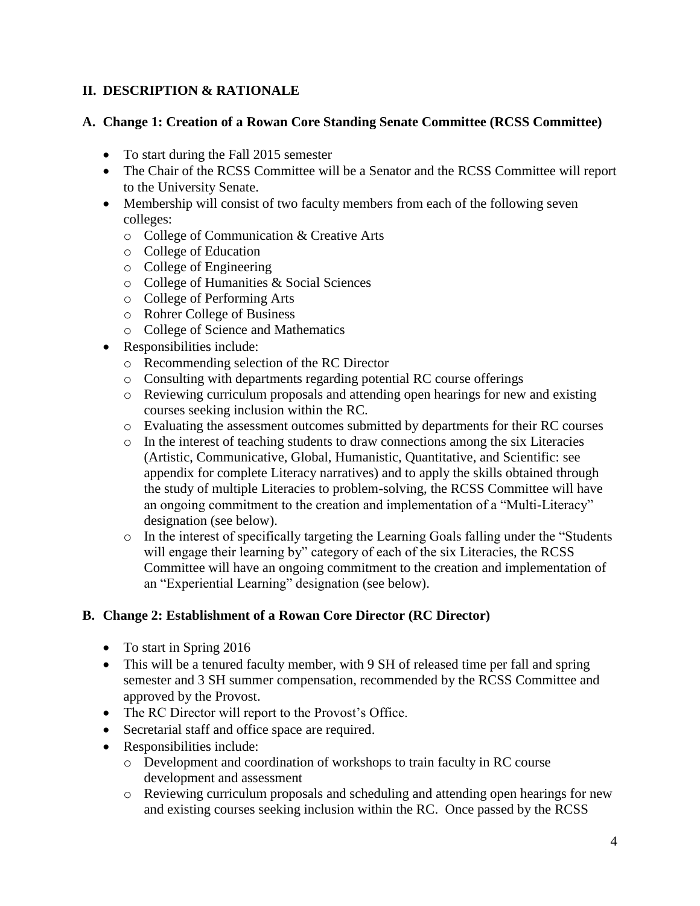# **II. DESCRIPTION & RATIONALE**

## **A. Change 1: Creation of a Rowan Core Standing Senate Committee (RCSS Committee)**

- To start during the Fall 2015 semester
- The Chair of the RCSS Committee will be a Senator and the RCSS Committee will report to the University Senate.
- Membership will consist of two faculty members from each of the following seven colleges:
	- o College of Communication & Creative Arts
	- o College of Education
	- o College of Engineering
	- o College of Humanities & Social Sciences
	- o College of Performing Arts
	- o Rohrer College of Business
	- o College of Science and Mathematics
- Responsibilities include:
	- o Recommending selection of the RC Director
	- o Consulting with departments regarding potential RC course offerings
	- o Reviewing curriculum proposals and attending open hearings for new and existing courses seeking inclusion within the RC.
	- o Evaluating the assessment outcomes submitted by departments for their RC courses
	- o In the interest of teaching students to draw connections among the six Literacies (Artistic, Communicative, Global, Humanistic, Quantitative, and Scientific: see appendix for complete Literacy narratives) and to apply the skills obtained through the study of multiple Literacies to problem-solving, the RCSS Committee will have an ongoing commitment to the creation and implementation of a "Multi-Literacy" designation (see below).
	- o In the interest of specifically targeting the Learning Goals falling under the "Students will engage their learning by" category of each of the six Literacies, the RCSS Committee will have an ongoing commitment to the creation and implementation of an "Experiential Learning" designation (see below).

## **B. Change 2: Establishment of a Rowan Core Director (RC Director)**

- To start in Spring 2016
- This will be a tenured faculty member, with 9 SH of released time per fall and spring semester and 3 SH summer compensation, recommended by the RCSS Committee and approved by the Provost.
- The RC Director will report to the Provost's Office.
- Secretarial staff and office space are required.
- Responsibilities include:
	- o Development and coordination of workshops to train faculty in RC course development and assessment
	- o Reviewing curriculum proposals and scheduling and attending open hearings for new and existing courses seeking inclusion within the RC. Once passed by the RCSS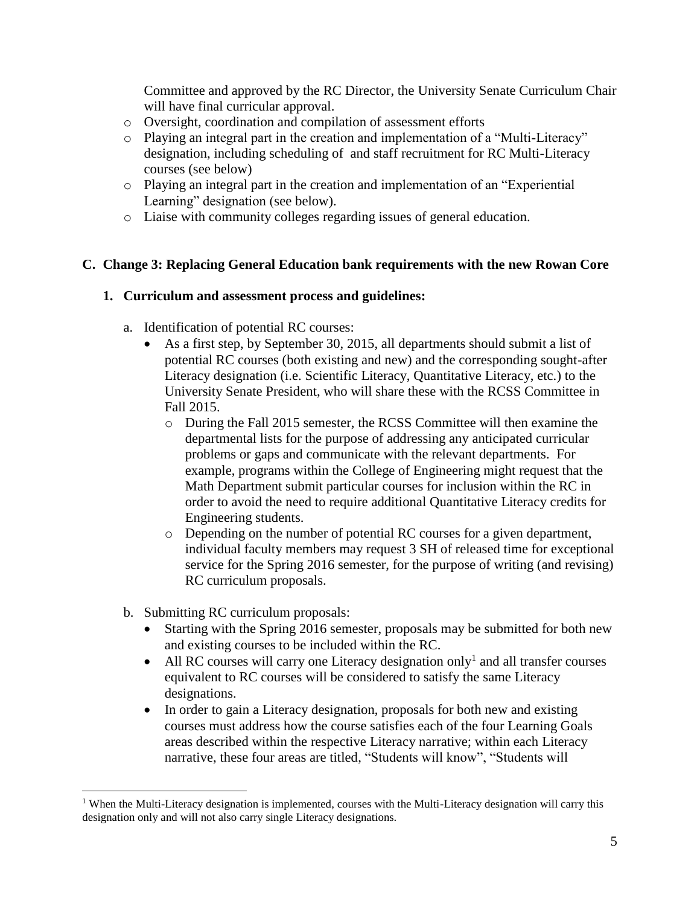Committee and approved by the RC Director, the University Senate Curriculum Chair will have final curricular approval.

- o Oversight, coordination and compilation of assessment efforts
- o Playing an integral part in the creation and implementation of a "Multi-Literacy" designation, including scheduling of and staff recruitment for RC Multi-Literacy courses (see below)
- o Playing an integral part in the creation and implementation of an "Experiential Learning" designation (see below).
- o Liaise with community colleges regarding issues of general education.

#### **C. Change 3: Replacing General Education bank requirements with the new Rowan Core**

#### **1. Curriculum and assessment process and guidelines:**

- a. Identification of potential RC courses:
	- As a first step, by September 30, 2015, all departments should submit a list of potential RC courses (both existing and new) and the corresponding sought-after Literacy designation (i.e. Scientific Literacy, Quantitative Literacy, etc.) to the University Senate President, who will share these with the RCSS Committee in Fall 2015.
		- o During the Fall 2015 semester, the RCSS Committee will then examine the departmental lists for the purpose of addressing any anticipated curricular problems or gaps and communicate with the relevant departments. For example, programs within the College of Engineering might request that the Math Department submit particular courses for inclusion within the RC in order to avoid the need to require additional Quantitative Literacy credits for Engineering students.
		- o Depending on the number of potential RC courses for a given department, individual faculty members may request 3 SH of released time for exceptional service for the Spring 2016 semester, for the purpose of writing (and revising) RC curriculum proposals.
- b. Submitting RC curriculum proposals:

 $\overline{a}$ 

- Starting with the Spring 2016 semester, proposals may be submitted for both new and existing courses to be included within the RC.
- All RC courses will carry one Literacy designation only<sup>1</sup> and all transfer courses equivalent to RC courses will be considered to satisfy the same Literacy designations.
- In order to gain a Literacy designation, proposals for both new and existing courses must address how the course satisfies each of the four Learning Goals areas described within the respective Literacy narrative; within each Literacy narrative, these four areas are titled, "Students will know", "Students will

<sup>&</sup>lt;sup>1</sup> When the Multi-Literacy designation is implemented, courses with the Multi-Literacy designation will carry this designation only and will not also carry single Literacy designations.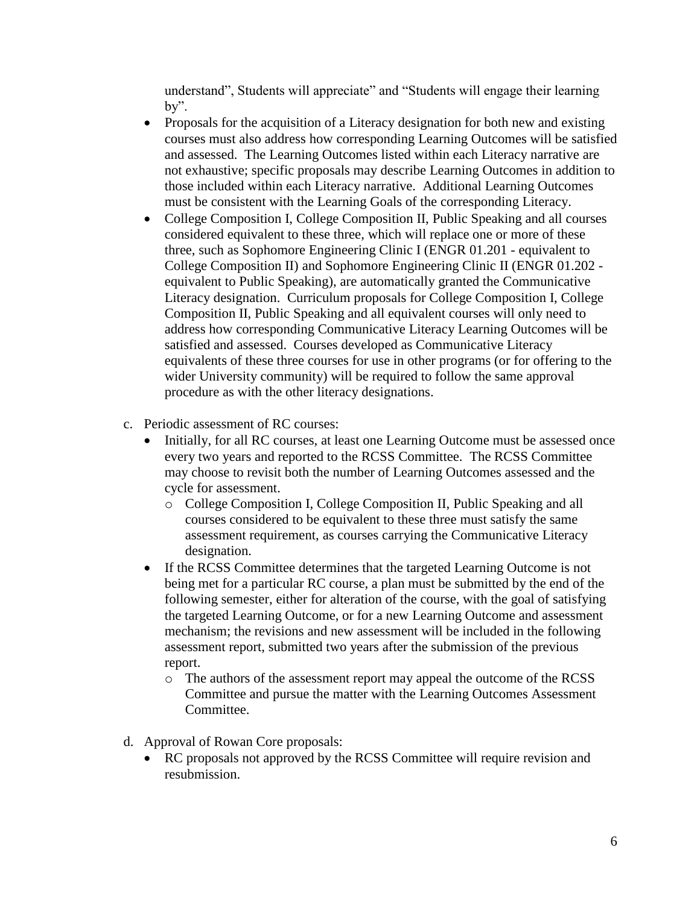understand", Students will appreciate" and "Students will engage their learning by".

- Proposals for the acquisition of a Literacy designation for both new and existing courses must also address how corresponding Learning Outcomes will be satisfied and assessed. The Learning Outcomes listed within each Literacy narrative are not exhaustive; specific proposals may describe Learning Outcomes in addition to those included within each Literacy narrative. Additional Learning Outcomes must be consistent with the Learning Goals of the corresponding Literacy.
- College Composition I, College Composition II, Public Speaking and all courses considered equivalent to these three, which will replace one or more of these three, such as Sophomore Engineering Clinic I (ENGR 01.201 - equivalent to College Composition II) and Sophomore Engineering Clinic II (ENGR 01.202 equivalent to Public Speaking), are automatically granted the Communicative Literacy designation. Curriculum proposals for College Composition I, College Composition II, Public Speaking and all equivalent courses will only need to address how corresponding Communicative Literacy Learning Outcomes will be satisfied and assessed. Courses developed as Communicative Literacy equivalents of these three courses for use in other programs (or for offering to the wider University community) will be required to follow the same approval procedure as with the other literacy designations.
- c. Periodic assessment of RC courses:
	- Initially, for all RC courses, at least one Learning Outcome must be assessed once every two years and reported to the RCSS Committee. The RCSS Committee may choose to revisit both the number of Learning Outcomes assessed and the cycle for assessment.
		- o College Composition I, College Composition II, Public Speaking and all courses considered to be equivalent to these three must satisfy the same assessment requirement, as courses carrying the Communicative Literacy designation.
	- If the RCSS Committee determines that the targeted Learning Outcome is not being met for a particular RC course, a plan must be submitted by the end of the following semester, either for alteration of the course, with the goal of satisfying the targeted Learning Outcome, or for a new Learning Outcome and assessment mechanism; the revisions and new assessment will be included in the following assessment report, submitted two years after the submission of the previous report.
		- o The authors of the assessment report may appeal the outcome of the RCSS Committee and pursue the matter with the Learning Outcomes Assessment Committee.
- d. Approval of Rowan Core proposals:
	- RC proposals not approved by the RCSS Committee will require revision and resubmission.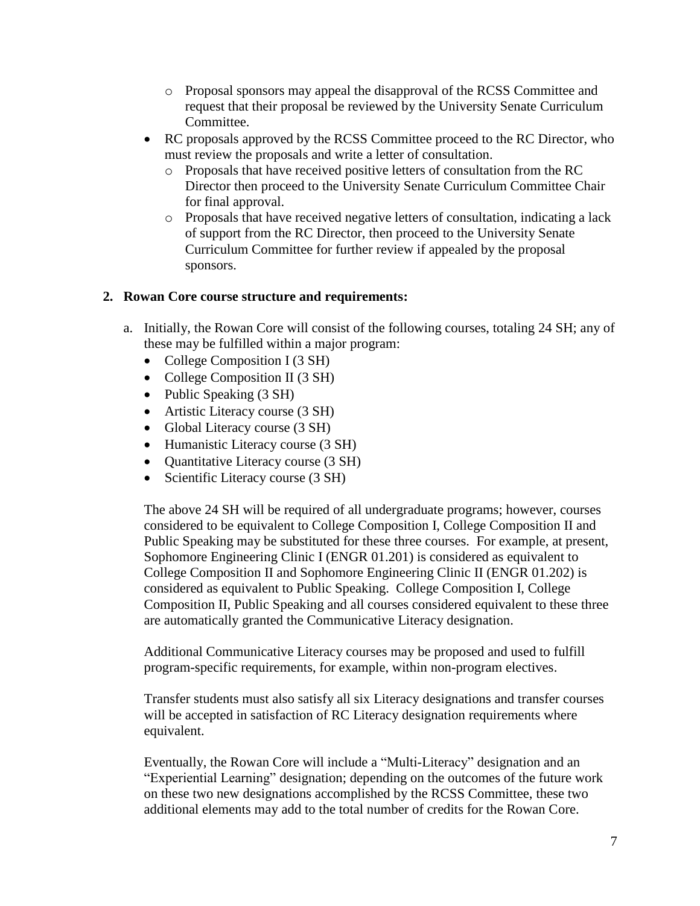- o Proposal sponsors may appeal the disapproval of the RCSS Committee and request that their proposal be reviewed by the University Senate Curriculum Committee.
- RC proposals approved by the RCSS Committee proceed to the RC Director, who must review the proposals and write a letter of consultation.
	- o Proposals that have received positive letters of consultation from the RC Director then proceed to the University Senate Curriculum Committee Chair for final approval.
	- $\circ$  Proposals that have received negative letters of consultation, indicating a lack of support from the RC Director, then proceed to the University Senate Curriculum Committee for further review if appealed by the proposal sponsors.

#### **2. Rowan Core course structure and requirements:**

- a. Initially, the Rowan Core will consist of the following courses, totaling 24 SH; any of these may be fulfilled within a major program:
	- College Composition I (3 SH)
	- College Composition II (3 SH)
	- Public Speaking (3 SH)
	- Artistic Literacy course (3 SH)
	- Global Literacy course (3 SH)
	- Humanistic Literacy course (3 SH)
	- Quantitative Literacy course (3 SH)
	- Scientific Literacy course (3 SH)

The above 24 SH will be required of all undergraduate programs; however, courses considered to be equivalent to College Composition I, College Composition II and Public Speaking may be substituted for these three courses. For example, at present, Sophomore Engineering Clinic I (ENGR 01.201) is considered as equivalent to College Composition II and Sophomore Engineering Clinic II (ENGR 01.202) is considered as equivalent to Public Speaking. College Composition I, College Composition II, Public Speaking and all courses considered equivalent to these three are automatically granted the Communicative Literacy designation.

Additional Communicative Literacy courses may be proposed and used to fulfill program-specific requirements, for example, within non-program electives.

Transfer students must also satisfy all six Literacy designations and transfer courses will be accepted in satisfaction of RC Literacy designation requirements where equivalent.

Eventually, the Rowan Core will include a "Multi-Literacy" designation and an "Experiential Learning" designation; depending on the outcomes of the future work on these two new designations accomplished by the RCSS Committee, these two additional elements may add to the total number of credits for the Rowan Core.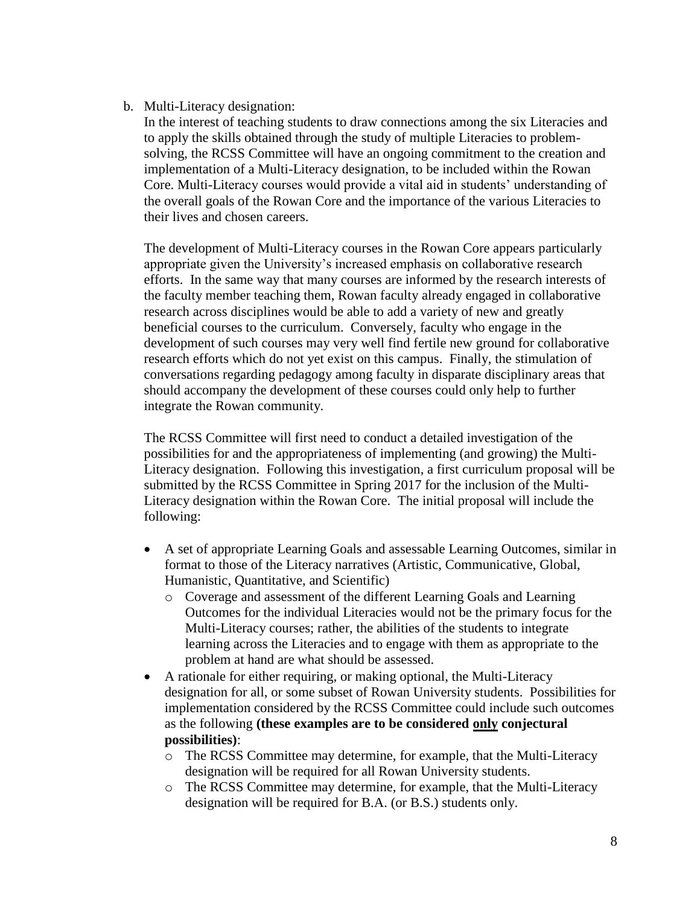#### b. Multi-Literacy designation:

In the interest of teaching students to draw connections among the six Literacies and to apply the skills obtained through the study of multiple Literacies to problemsolving, the RCSS Committee will have an ongoing commitment to the creation and implementation of a Multi-Literacy designation, to be included within the Rowan Core. Multi-Literacy courses would provide a vital aid in students' understanding of the overall goals of the Rowan Core and the importance of the various Literacies to their lives and chosen careers.

The development of Multi-Literacy courses in the Rowan Core appears particularly appropriate given the University's increased emphasis on collaborative research efforts. In the same way that many courses are informed by the research interests of the faculty member teaching them, Rowan faculty already engaged in collaborative research across disciplines would be able to add a variety of new and greatly beneficial courses to the curriculum. Conversely, faculty who engage in the development of such courses may very well find fertile new ground for collaborative research efforts which do not yet exist on this campus. Finally, the stimulation of conversations regarding pedagogy among faculty in disparate disciplinary areas that should accompany the development of these courses could only help to further integrate the Rowan community.

The RCSS Committee will first need to conduct a detailed investigation of the possibilities for and the appropriateness of implementing (and growing) the Multi-Literacy designation. Following this investigation, a first curriculum proposal will be submitted by the RCSS Committee in Spring 2017 for the inclusion of the Multi-Literacy designation within the Rowan Core. The initial proposal will include the following:

- A set of appropriate Learning Goals and assessable Learning Outcomes, similar in format to those of the Literacy narratives (Artistic, Communicative, Global, Humanistic, Quantitative, and Scientific)
	- o Coverage and assessment of the different Learning Goals and Learning Outcomes for the individual Literacies would not be the primary focus for the Multi-Literacy courses; rather, the abilities of the students to integrate learning across the Literacies and to engage with them as appropriate to the problem at hand are what should be assessed.
- A rationale for either requiring, or making optional, the Multi-Literacy designation for all, or some subset of Rowan University students. Possibilities for implementation considered by the RCSS Committee could include such outcomes as the following **(these examples are to be considered only conjectural possibilities)**:
	- o The RCSS Committee may determine, for example, that the Multi-Literacy designation will be required for all Rowan University students.
	- o The RCSS Committee may determine, for example, that the Multi-Literacy designation will be required for B.A. (or B.S.) students only.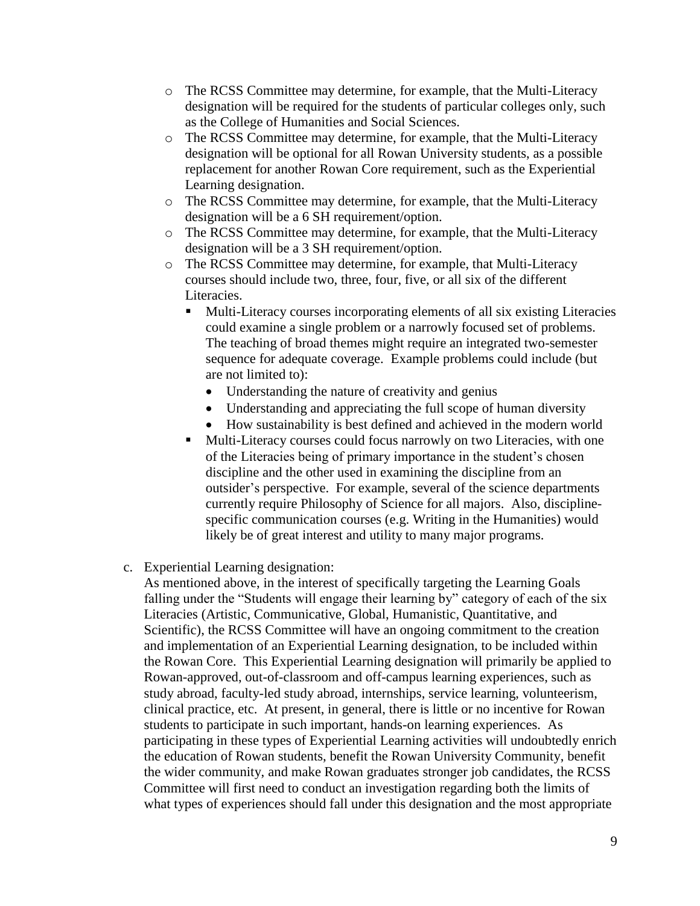- o The RCSS Committee may determine, for example, that the Multi-Literacy designation will be required for the students of particular colleges only, such as the College of Humanities and Social Sciences.
- o The RCSS Committee may determine, for example, that the Multi-Literacy designation will be optional for all Rowan University students, as a possible replacement for another Rowan Core requirement, such as the Experiential Learning designation.
- o The RCSS Committee may determine, for example, that the Multi-Literacy designation will be a 6 SH requirement/option.
- o The RCSS Committee may determine, for example, that the Multi-Literacy designation will be a 3 SH requirement/option.
- o The RCSS Committee may determine, for example, that Multi-Literacy courses should include two, three, four, five, or all six of the different Literacies.
	- Multi-Literacy courses incorporating elements of all six existing Literacies could examine a single problem or a narrowly focused set of problems. The teaching of broad themes might require an integrated two-semester sequence for adequate coverage. Example problems could include (but are not limited to):
		- Understanding the nature of creativity and genius
		- Understanding and appreciating the full scope of human diversity
		- How sustainability is best defined and achieved in the modern world
	- Multi-Literacy courses could focus narrowly on two Literacies, with one of the Literacies being of primary importance in the student's chosen discipline and the other used in examining the discipline from an outsider's perspective. For example, several of the science departments currently require Philosophy of Science for all majors. Also, disciplinespecific communication courses (e.g. Writing in the Humanities) would likely be of great interest and utility to many major programs.
- c. Experiential Learning designation:

As mentioned above, in the interest of specifically targeting the Learning Goals falling under the "Students will engage their learning by" category of each of the six Literacies (Artistic, Communicative, Global, Humanistic, Quantitative, and Scientific), the RCSS Committee will have an ongoing commitment to the creation and implementation of an Experiential Learning designation, to be included within the Rowan Core. This Experiential Learning designation will primarily be applied to Rowan-approved, out-of-classroom and off-campus learning experiences, such as study abroad, faculty-led study abroad, internships, service learning, volunteerism, clinical practice, etc. At present, in general, there is little or no incentive for Rowan students to participate in such important, hands-on learning experiences. As participating in these types of Experiential Learning activities will undoubtedly enrich the education of Rowan students, benefit the Rowan University Community, benefit the wider community, and make Rowan graduates stronger job candidates, the RCSS Committee will first need to conduct an investigation regarding both the limits of what types of experiences should fall under this designation and the most appropriate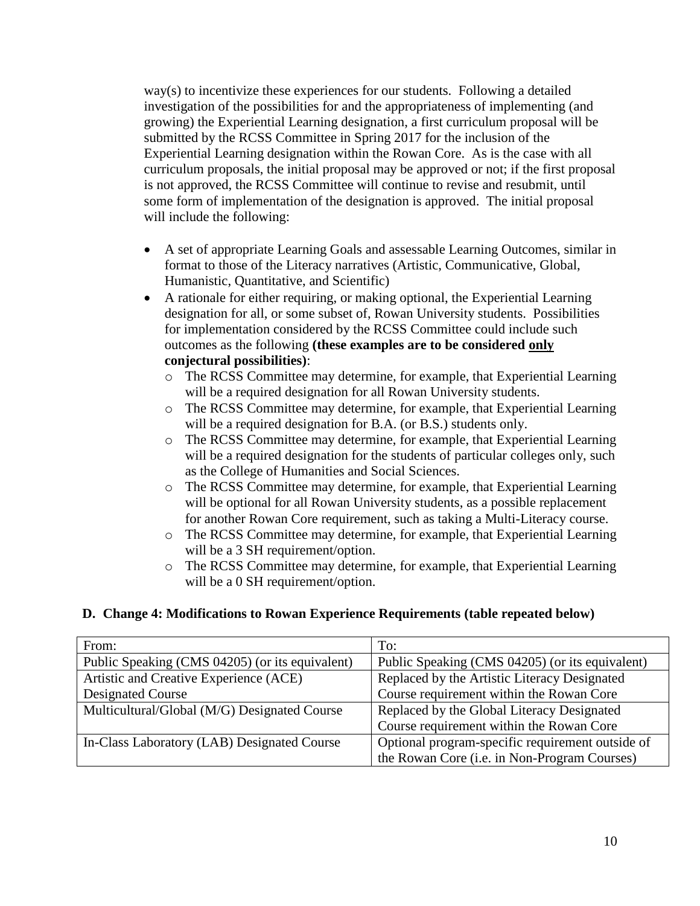way(s) to incentivize these experiences for our students. Following a detailed investigation of the possibilities for and the appropriateness of implementing (and growing) the Experiential Learning designation, a first curriculum proposal will be submitted by the RCSS Committee in Spring 2017 for the inclusion of the Experiential Learning designation within the Rowan Core. As is the case with all curriculum proposals, the initial proposal may be approved or not; if the first proposal is not approved, the RCSS Committee will continue to revise and resubmit, until some form of implementation of the designation is approved. The initial proposal will include the following:

- A set of appropriate Learning Goals and assessable Learning Outcomes, similar in format to those of the Literacy narratives (Artistic, Communicative, Global, Humanistic, Quantitative, and Scientific)
- A rationale for either requiring, or making optional, the Experiential Learning designation for all, or some subset of, Rowan University students. Possibilities for implementation considered by the RCSS Committee could include such outcomes as the following **(these examples are to be considered only conjectural possibilities)**:
	- o The RCSS Committee may determine, for example, that Experiential Learning will be a required designation for all Rowan University students.
	- o The RCSS Committee may determine, for example, that Experiential Learning will be a required designation for B.A. (or B.S.) students only.
	- o The RCSS Committee may determine, for example, that Experiential Learning will be a required designation for the students of particular colleges only, such as the College of Humanities and Social Sciences.
	- o The RCSS Committee may determine, for example, that Experiential Learning will be optional for all Rowan University students, as a possible replacement for another Rowan Core requirement, such as taking a Multi-Literacy course.
	- o The RCSS Committee may determine, for example, that Experiential Learning will be a 3 SH requirement/option.
	- o The RCSS Committee may determine, for example, that Experiential Learning will be a 0 SH requirement/option.

## **D. Change 4: Modifications to Rowan Experience Requirements (table repeated below)**

| From:                                           | To:                                              |
|-------------------------------------------------|--------------------------------------------------|
| Public Speaking (CMS 04205) (or its equivalent) | Public Speaking (CMS 04205) (or its equivalent)  |
| Artistic and Creative Experience (ACE)          | Replaced by the Artistic Literacy Designated     |
| <b>Designated Course</b>                        | Course requirement within the Rowan Core         |
| Multicultural/Global (M/G) Designated Course    | Replaced by the Global Literacy Designated       |
|                                                 | Course requirement within the Rowan Core         |
| In-Class Laboratory (LAB) Designated Course     | Optional program-specific requirement outside of |
|                                                 | the Rowan Core (i.e. in Non-Program Courses)     |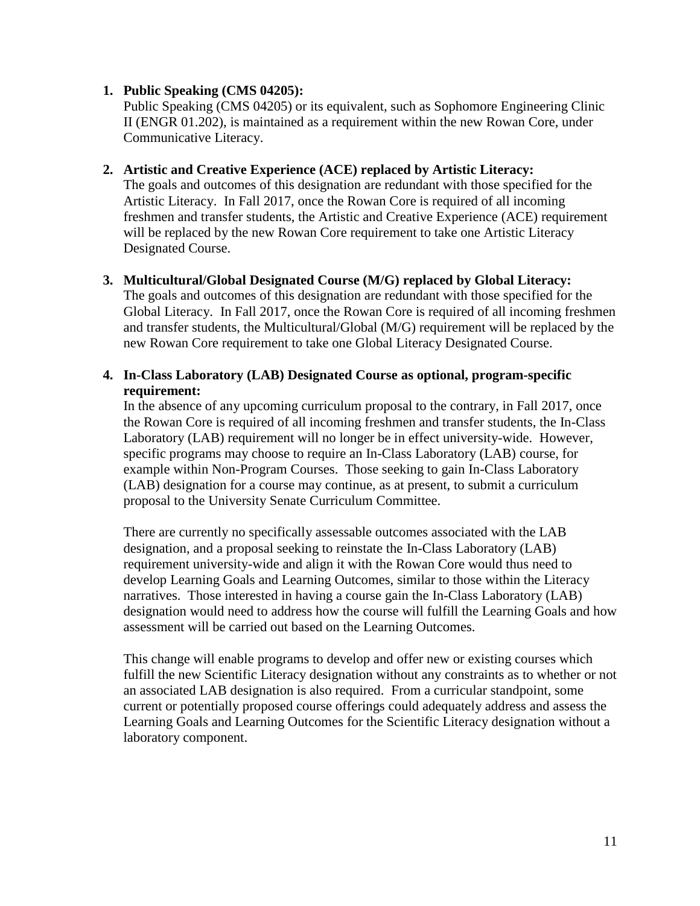#### **1. Public Speaking (CMS 04205):**

Public Speaking (CMS 04205) or its equivalent, such as Sophomore Engineering Clinic II (ENGR 01.202), is maintained as a requirement within the new Rowan Core, under Communicative Literacy.

#### **2. Artistic and Creative Experience (ACE) replaced by Artistic Literacy:**

The goals and outcomes of this designation are redundant with those specified for the Artistic Literacy. In Fall 2017, once the Rowan Core is required of all incoming freshmen and transfer students, the Artistic and Creative Experience (ACE) requirement will be replaced by the new Rowan Core requirement to take one Artistic Literacy Designated Course.

#### **3. Multicultural/Global Designated Course (M/G) replaced by Global Literacy:**

The goals and outcomes of this designation are redundant with those specified for the Global Literacy. In Fall 2017, once the Rowan Core is required of all incoming freshmen and transfer students, the Multicultural/Global (M/G) requirement will be replaced by the new Rowan Core requirement to take one Global Literacy Designated Course.

## **4. In-Class Laboratory (LAB) Designated Course as optional, program-specific requirement:**

In the absence of any upcoming curriculum proposal to the contrary, in Fall 2017, once the Rowan Core is required of all incoming freshmen and transfer students, the In-Class Laboratory (LAB) requirement will no longer be in effect university-wide. However, specific programs may choose to require an In-Class Laboratory (LAB) course, for example within Non-Program Courses. Those seeking to gain In-Class Laboratory (LAB) designation for a course may continue, as at present, to submit a curriculum proposal to the University Senate Curriculum Committee.

There are currently no specifically assessable outcomes associated with the LAB designation, and a proposal seeking to reinstate the In-Class Laboratory (LAB) requirement university-wide and align it with the Rowan Core would thus need to develop Learning Goals and Learning Outcomes, similar to those within the Literacy narratives. Those interested in having a course gain the In-Class Laboratory (LAB) designation would need to address how the course will fulfill the Learning Goals and how assessment will be carried out based on the Learning Outcomes.

This change will enable programs to develop and offer new or existing courses which fulfill the new Scientific Literacy designation without any constraints as to whether or not an associated LAB designation is also required. From a curricular standpoint, some current or potentially proposed course offerings could adequately address and assess the Learning Goals and Learning Outcomes for the Scientific Literacy designation without a laboratory component.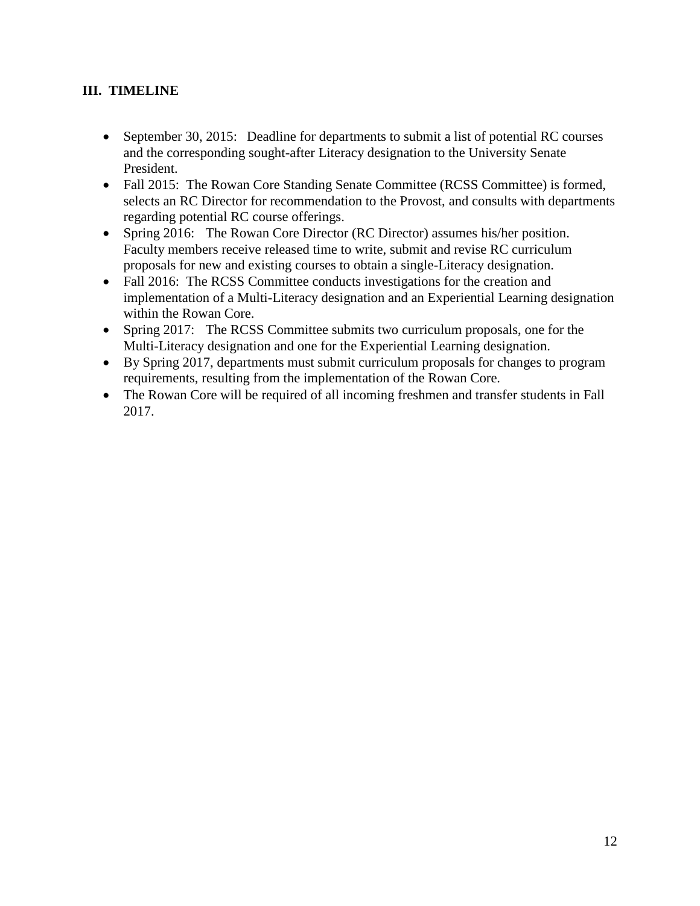# **III. TIMELINE**

- September 30, 2015: Deadline for departments to submit a list of potential RC courses and the corresponding sought-after Literacy designation to the University Senate President.
- Fall 2015: The Rowan Core Standing Senate Committee (RCSS Committee) is formed, selects an RC Director for recommendation to the Provost, and consults with departments regarding potential RC course offerings.
- Spring 2016: The Rowan Core Director (RC Director) assumes his/her position. Faculty members receive released time to write, submit and revise RC curriculum proposals for new and existing courses to obtain a single-Literacy designation.
- Fall 2016: The RCSS Committee conducts investigations for the creation and implementation of a Multi-Literacy designation and an Experiential Learning designation within the Rowan Core.
- Spring 2017: The RCSS Committee submits two curriculum proposals, one for the Multi-Literacy designation and one for the Experiential Learning designation.
- By Spring 2017, departments must submit curriculum proposals for changes to program requirements, resulting from the implementation of the Rowan Core.
- The Rowan Core will be required of all incoming freshmen and transfer students in Fall 2017.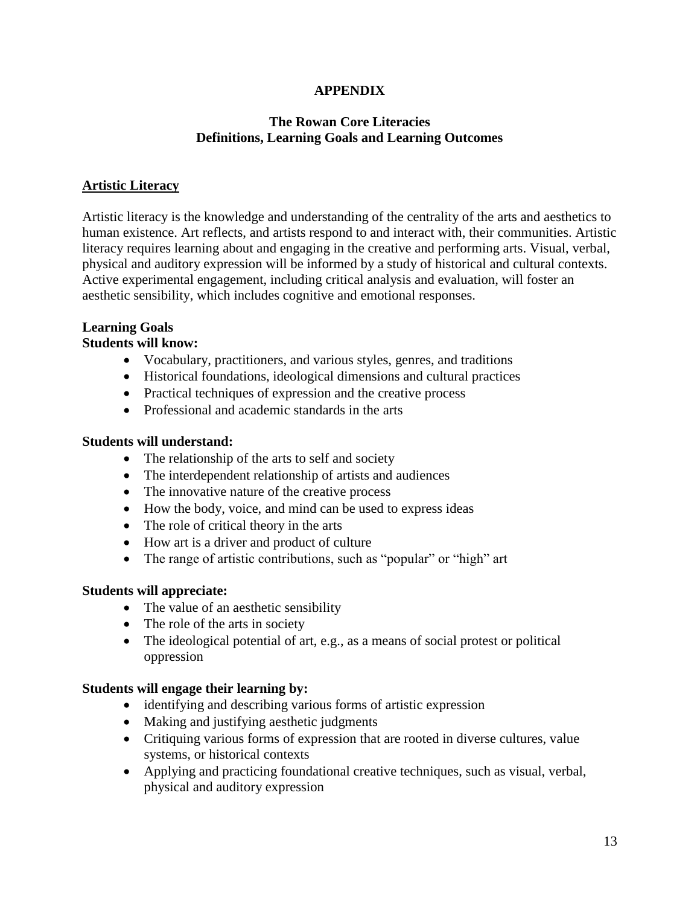## **APPENDIX**

#### **The Rowan Core Literacies Definitions, Learning Goals and Learning Outcomes**

## **Artistic Literacy**

Artistic literacy is the knowledge and understanding of the centrality of the arts and aesthetics to human existence. Art reflects, and artists respond to and interact with, their communities. Artistic literacy requires learning about and engaging in the creative and performing arts. Visual, verbal, physical and auditory expression will be informed by a study of historical and cultural contexts. Active experimental engagement, including critical analysis and evaluation, will foster an aesthetic sensibility, which includes cognitive and emotional responses.

## **Learning Goals**

#### **Students will know:**

- Vocabulary, practitioners, and various styles, genres, and traditions
- Historical foundations, ideological dimensions and cultural practices
- Practical techniques of expression and the creative process
- Professional and academic standards in the arts

#### **Students will understand:**

- The relationship of the arts to self and society
- The interdependent relationship of artists and audiences
- The innovative nature of the creative process
- How the body, voice, and mind can be used to express ideas
- The role of critical theory in the arts
- How art is a driver and product of culture
- The range of artistic contributions, such as "popular" or "high" art

#### **Students will appreciate:**

- The value of an aesthetic sensibility
- The role of the arts in society
- The ideological potential of art, e.g., as a means of social protest or political oppression

#### **Students will engage their learning by:**

- identifying and describing various forms of artistic expression
- Making and justifying aesthetic judgments
- Critiquing various forms of expression that are rooted in diverse cultures, value systems, or historical contexts
- Applying and practicing foundational creative techniques, such as visual, verbal, physical and auditory expression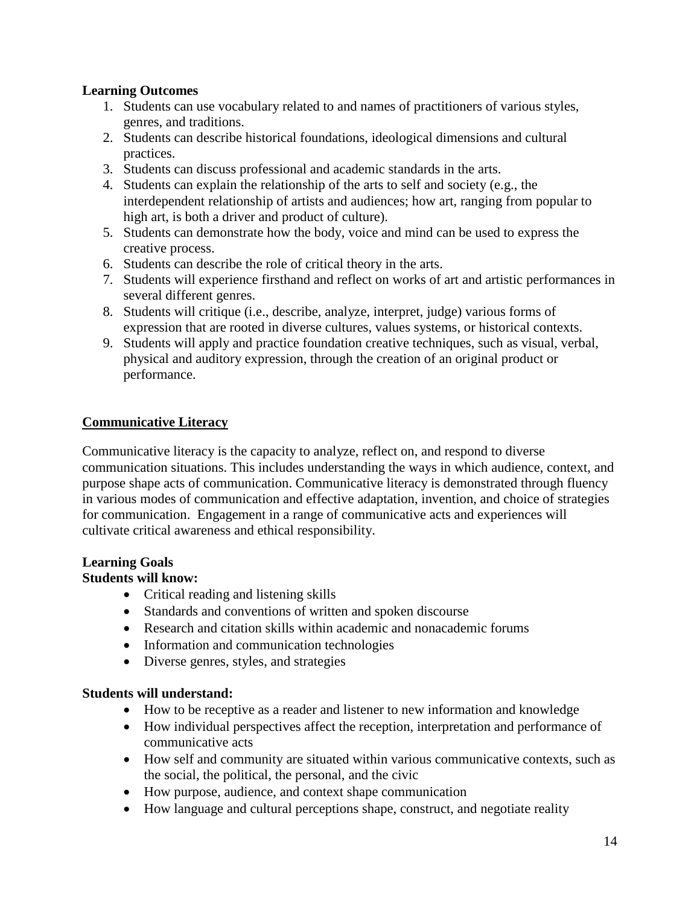## **Learning Outcomes**

- 1. Students can use vocabulary related to and names of practitioners of various styles, genres, and traditions.
- 2. Students can describe historical foundations, ideological dimensions and cultural practices.
- 3. Students can discuss professional and academic standards in the arts.
- 4. Students can explain the relationship of the arts to self and society (e.g., the interdependent relationship of artists and audiences; how art, ranging from popular to high art, is both a driver and product of culture).
- 5. Students can demonstrate how the body, voice and mind can be used to express the creative process.
- 6. Students can describe the role of critical theory in the arts.
- 7. Students will experience firsthand and reflect on works of art and artistic performances in several different genres.
- 8. Students will critique (i.e., describe, analyze, interpret, judge) various forms of expression that are rooted in diverse cultures, values systems, or historical contexts.
- 9. Students will apply and practice foundation creative techniques, such as visual, verbal, physical and auditory expression, through the creation of an original product or performance.

#### **Communicative Literacy**

Communicative literacy is the capacity to analyze, reflect on, and respond to diverse communication situations. This includes understanding the ways in which audience, context, and purpose shape acts of communication. Communicative literacy is demonstrated through fluency in various modes of communication and effective adaptation, invention, and choice of strategies for communication. Engagement in a range of communicative acts and experiences will cultivate critical awareness and ethical responsibility.

# **Learning Goals**

## **Students will know:**

- Critical reading and listening skills
- Standards and conventions of written and spoken discourse
- Research and citation skills within academic and nonacademic forums
- Information and communication technologies
- Diverse genres, styles, and strategies

#### **Students will understand:**

- How to be receptive as a reader and listener to new information and knowledge
- How individual perspectives affect the reception, interpretation and performance of communicative acts
- How self and community are situated within various communicative contexts, such as the social, the political, the personal, and the civic
- How purpose, audience, and context shape communication
- How language and cultural perceptions shape, construct, and negotiate reality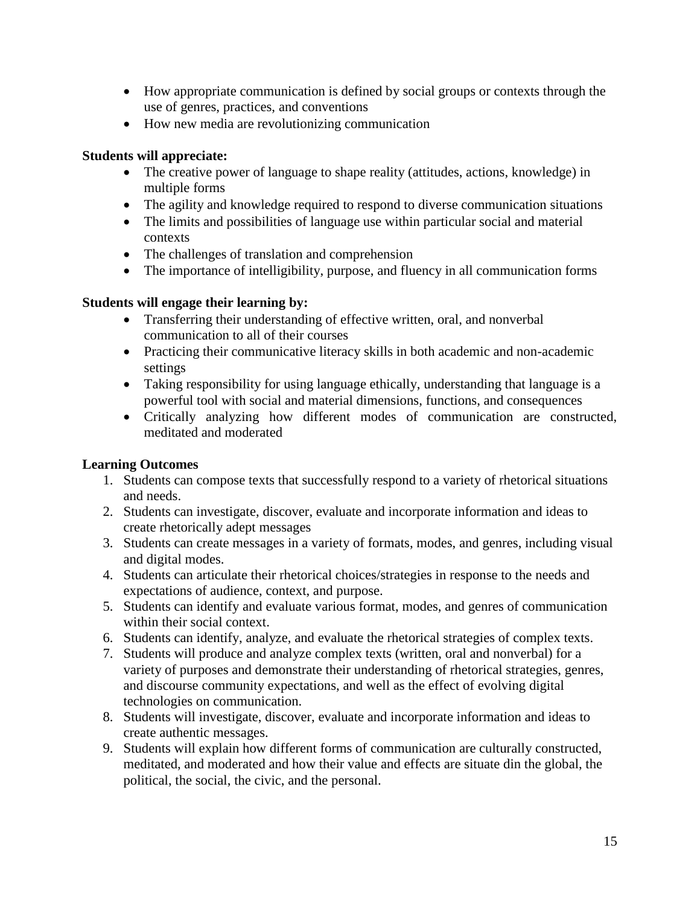- How appropriate communication is defined by social groups or contexts through the use of genres, practices, and conventions
- How new media are revolutionizing communication

# **Students will appreciate:**

- The creative power of language to shape reality (attitudes, actions, knowledge) in multiple forms
- The agility and knowledge required to respond to diverse communication situations
- The limits and possibilities of language use within particular social and material contexts
- The challenges of translation and comprehension
- The importance of intelligibility, purpose, and fluency in all communication forms

# **Students will engage their learning by:**

- Transferring their understanding of effective written, oral, and nonverbal communication to all of their courses
- Practicing their communicative literacy skills in both academic and non-academic settings
- Taking responsibility for using language ethically, understanding that language is a powerful tool with social and material dimensions, functions, and consequences
- Critically analyzing how different modes of communication are constructed, meditated and moderated

# **Learning Outcomes**

- 1. Students can compose texts that successfully respond to a variety of rhetorical situations and needs.
- 2. Students can investigate, discover, evaluate and incorporate information and ideas to create rhetorically adept messages
- 3. Students can create messages in a variety of formats, modes, and genres, including visual and digital modes.
- 4. Students can articulate their rhetorical choices/strategies in response to the needs and expectations of audience, context, and purpose.
- 5. Students can identify and evaluate various format, modes, and genres of communication within their social context.
- 6. Students can identify, analyze, and evaluate the rhetorical strategies of complex texts.
- 7. Students will produce and analyze complex texts (written, oral and nonverbal) for a variety of purposes and demonstrate their understanding of rhetorical strategies, genres, and discourse community expectations, and well as the effect of evolving digital technologies on communication.
- 8. Students will investigate, discover, evaluate and incorporate information and ideas to create authentic messages.
- 9. Students will explain how different forms of communication are culturally constructed, meditated, and moderated and how their value and effects are situate din the global, the political, the social, the civic, and the personal.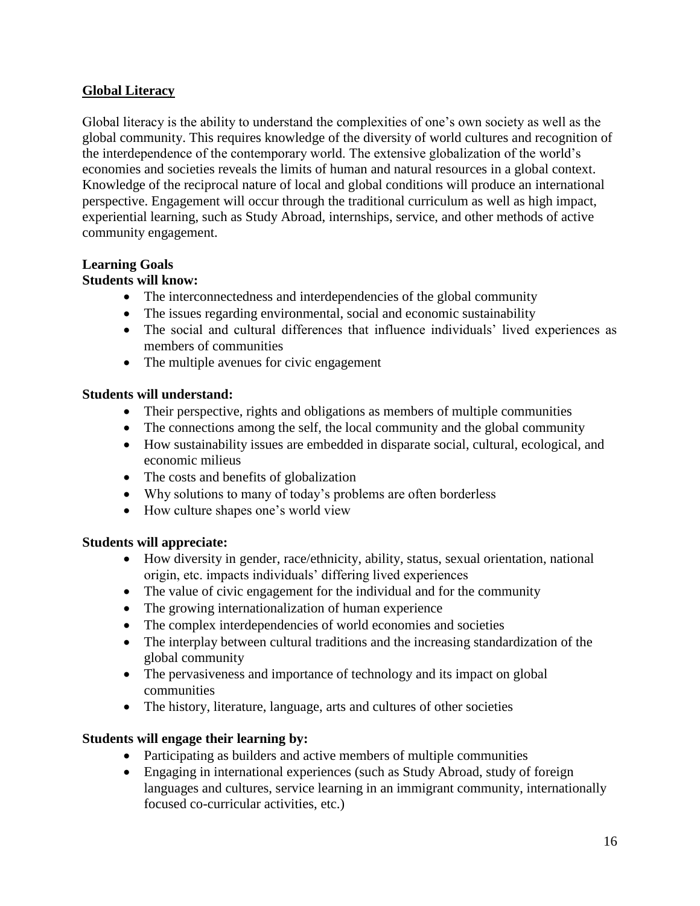# **Global Literacy**

Global literacy is the ability to understand the complexities of one's own society as well as the global community. This requires knowledge of the diversity of world cultures and recognition of the interdependence of the contemporary world. The extensive globalization of the world's economies and societies reveals the limits of human and natural resources in a global context. Knowledge of the reciprocal nature of local and global conditions will produce an international perspective. Engagement will occur through the traditional curriculum as well as high impact, experiential learning, such as Study Abroad, internships, service, and other methods of active community engagement.

## **Learning Goals**

# **Students will know:**

- The interconnectedness and interdependencies of the global community
- The issues regarding environmental, social and economic sustainability
- The social and cultural differences that influence individuals' lived experiences as members of communities
- The multiple avenues for civic engagement

## **Students will understand:**

- Their perspective, rights and obligations as members of multiple communities
- The connections among the self, the local community and the global community
- How sustainability issues are embedded in disparate social, cultural, ecological, and economic milieus
- The costs and benefits of globalization
- Why solutions to many of today's problems are often borderless
- How culture shapes one's world view

## **Students will appreciate:**

- How diversity in gender, race/ethnicity, ability, status, sexual orientation, national origin, etc. impacts individuals' differing lived experiences
- The value of civic engagement for the individual and for the community
- The growing internationalization of human experience
- The complex interdependencies of world economies and societies
- The interplay between cultural traditions and the increasing standardization of the global community
- The pervasiveness and importance of technology and its impact on global communities
- The history, literature, language, arts and cultures of other societies

# **Students will engage their learning by:**

- Participating as builders and active members of multiple communities
- Engaging in international experiences (such as Study Abroad, study of foreign languages and cultures, service learning in an immigrant community, internationally focused co-curricular activities, etc.)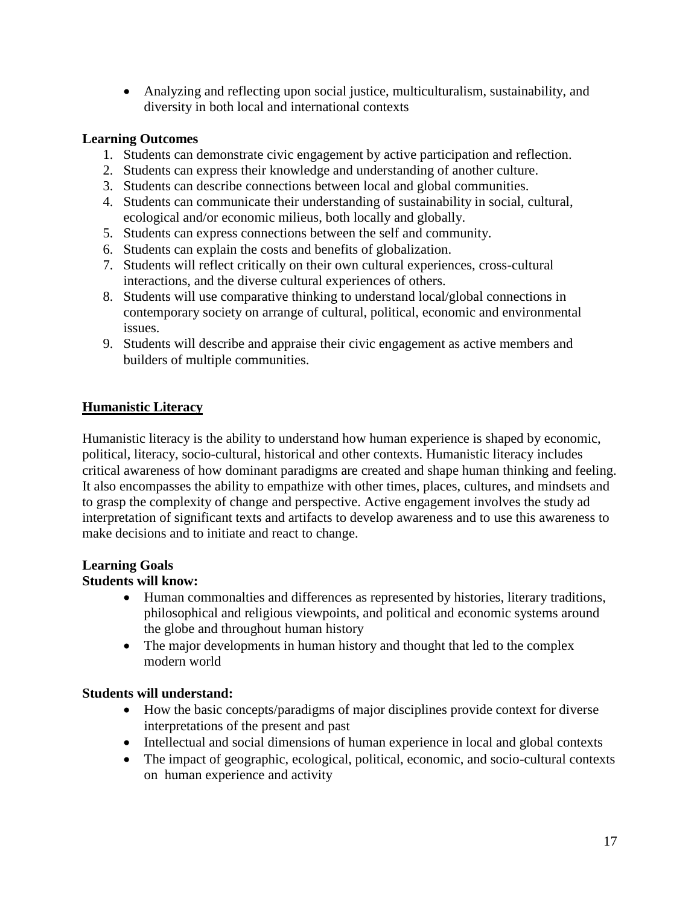Analyzing and reflecting upon social justice, multiculturalism, sustainability, and diversity in both local and international contexts

# **Learning Outcomes**

- 1. Students can demonstrate civic engagement by active participation and reflection.
- 2. Students can express their knowledge and understanding of another culture.
- 3. Students can describe connections between local and global communities.
- 4. Students can communicate their understanding of sustainability in social, cultural, ecological and/or economic milieus, both locally and globally.
- 5. Students can express connections between the self and community.
- 6. Students can explain the costs and benefits of globalization.
- 7. Students will reflect critically on their own cultural experiences, cross-cultural interactions, and the diverse cultural experiences of others.
- 8. Students will use comparative thinking to understand local/global connections in contemporary society on arrange of cultural, political, economic and environmental issues.
- 9. Students will describe and appraise their civic engagement as active members and builders of multiple communities.

# **Humanistic Literacy**

Humanistic literacy is the ability to understand how human experience is shaped by economic, political, literacy, socio-cultural, historical and other contexts. Humanistic literacy includes critical awareness of how dominant paradigms are created and shape human thinking and feeling. It also encompasses the ability to empathize with other times, places, cultures, and mindsets and to grasp the complexity of change and perspective. Active engagement involves the study ad interpretation of significant texts and artifacts to develop awareness and to use this awareness to make decisions and to initiate and react to change.

# **Learning Goals**

## **Students will know:**

- Human commonalties and differences as represented by histories, literary traditions, philosophical and religious viewpoints, and political and economic systems around the globe and throughout human history
- The major developments in human history and thought that led to the complex modern world

# **Students will understand:**

- How the basic concepts/paradigms of major disciplines provide context for diverse interpretations of the present and past
- Intellectual and social dimensions of human experience in local and global contexts
- The impact of geographic, ecological, political, economic, and socio-cultural contexts on human experience and activity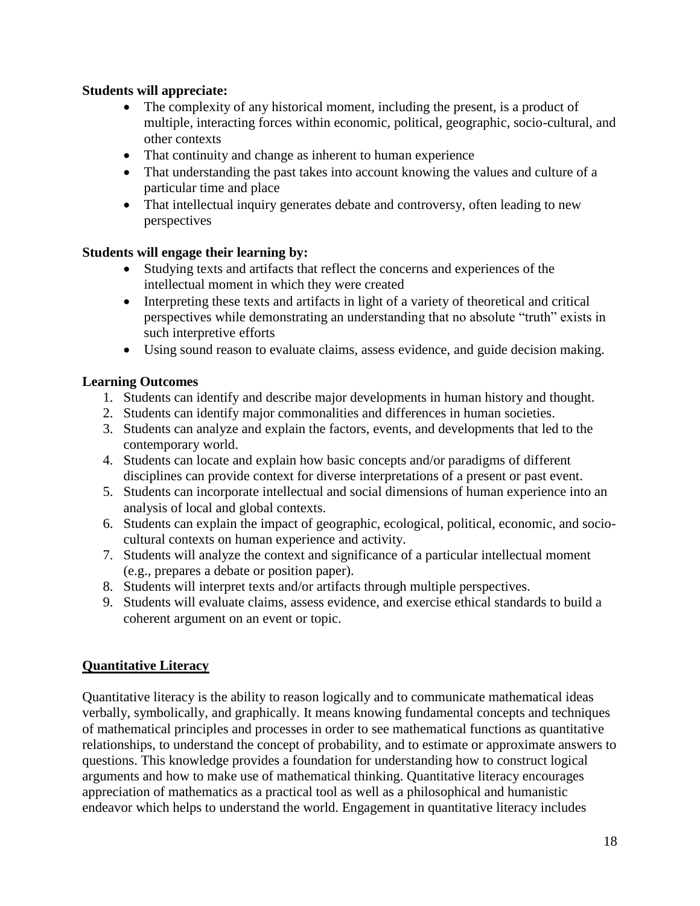## **Students will appreciate:**

- The complexity of any historical moment, including the present, is a product of multiple, interacting forces within economic, political, geographic, socio-cultural, and other contexts
- That continuity and change as inherent to human experience
- That understanding the past takes into account knowing the values and culture of a particular time and place
- That intellectual inquiry generates debate and controversy, often leading to new perspectives

# **Students will engage their learning by:**

- Studying texts and artifacts that reflect the concerns and experiences of the intellectual moment in which they were created
- Interpreting these texts and artifacts in light of a variety of theoretical and critical perspectives while demonstrating an understanding that no absolute "truth" exists in such interpretive efforts
- Using sound reason to evaluate claims, assess evidence, and guide decision making.

# **Learning Outcomes**

- 1. Students can identify and describe major developments in human history and thought.
- 2. Students can identify major commonalities and differences in human societies.
- 3. Students can analyze and explain the factors, events, and developments that led to the contemporary world.
- 4. Students can locate and explain how basic concepts and/or paradigms of different disciplines can provide context for diverse interpretations of a present or past event.
- 5. Students can incorporate intellectual and social dimensions of human experience into an analysis of local and global contexts.
- 6. Students can explain the impact of geographic, ecological, political, economic, and sociocultural contexts on human experience and activity.
- 7. Students will analyze the context and significance of a particular intellectual moment (e.g., prepares a debate or position paper).
- 8. Students will interpret texts and/or artifacts through multiple perspectives.
- 9. Students will evaluate claims, assess evidence, and exercise ethical standards to build a coherent argument on an event or topic.

# **Quantitative Literacy**

Quantitative literacy is the ability to reason logically and to communicate mathematical ideas verbally, symbolically, and graphically. It means knowing fundamental concepts and techniques of mathematical principles and processes in order to see mathematical functions as quantitative relationships, to understand the concept of probability, and to estimate or approximate answers to questions. This knowledge provides a foundation for understanding how to construct logical arguments and how to make use of mathematical thinking. Quantitative literacy encourages appreciation of mathematics as a practical tool as well as a philosophical and humanistic endeavor which helps to understand the world. Engagement in quantitative literacy includes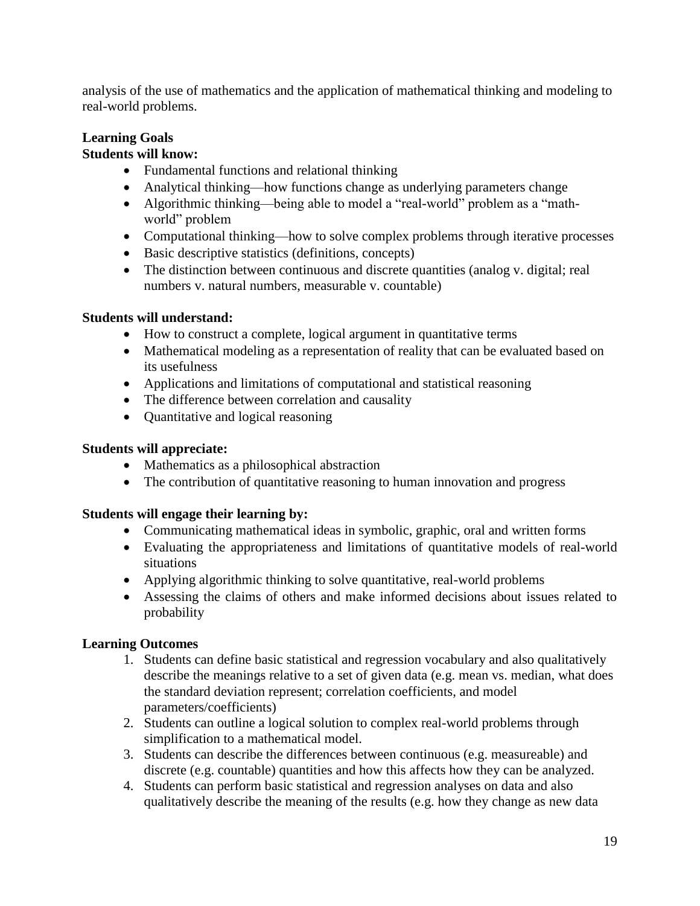analysis of the use of mathematics and the application of mathematical thinking and modeling to real-world problems.

# **Learning Goals**

# **Students will know:**

- Fundamental functions and relational thinking
- Analytical thinking—how functions change as underlying parameters change
- Algorithmic thinking—being able to model a "real-world" problem as a "mathworld" problem
- Computational thinking—how to solve complex problems through iterative processes
- Basic descriptive statistics (definitions, concepts)
- The distinction between continuous and discrete quantities (analog v. digital; real numbers v. natural numbers, measurable v. countable)

# **Students will understand:**

- How to construct a complete, logical argument in quantitative terms
- Mathematical modeling as a representation of reality that can be evaluated based on its usefulness
- Applications and limitations of computational and statistical reasoning
- The difference between correlation and causality
- Ouantitative and logical reasoning

## **Students will appreciate:**

- Mathematics as a philosophical abstraction
- The contribution of quantitative reasoning to human innovation and progress

## **Students will engage their learning by:**

- Communicating mathematical ideas in symbolic, graphic, oral and written forms
- Evaluating the appropriateness and limitations of quantitative models of real-world situations
- Applying algorithmic thinking to solve quantitative, real-world problems
- Assessing the claims of others and make informed decisions about issues related to probability

## **Learning Outcomes**

- 1. Students can define basic statistical and regression vocabulary and also qualitatively describe the meanings relative to a set of given data (e.g. mean vs. median, what does the standard deviation represent; correlation coefficients, and model parameters/coefficients)
- 2. Students can outline a logical solution to complex real-world problems through simplification to a mathematical model.
- 3. Students can describe the differences between continuous (e.g. measureable) and discrete (e.g. countable) quantities and how this affects how they can be analyzed.
- 4. Students can perform basic statistical and regression analyses on data and also qualitatively describe the meaning of the results (e.g. how they change as new data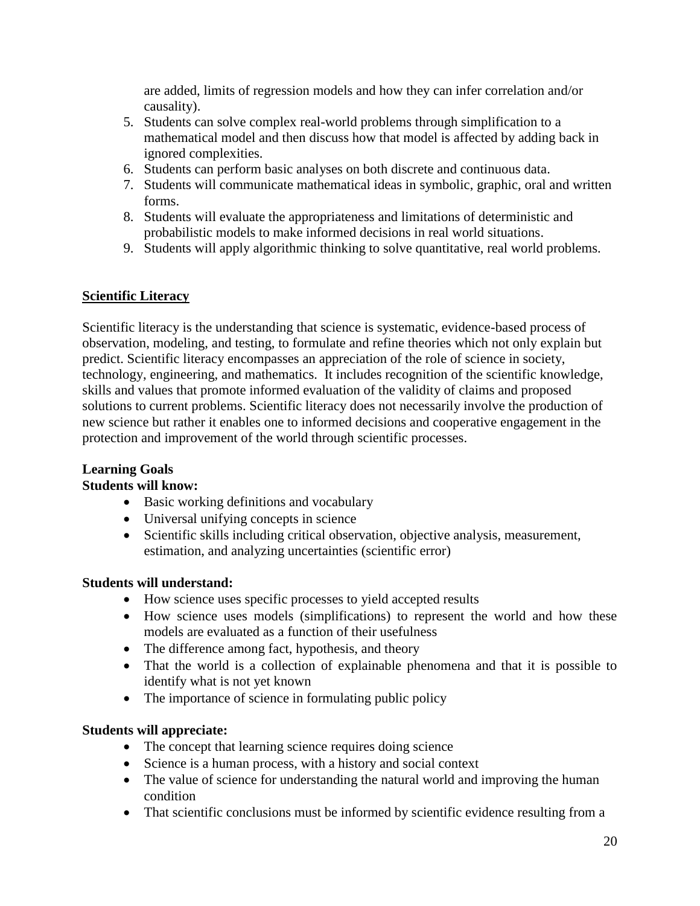are added, limits of regression models and how they can infer correlation and/or causality).

- 5. Students can solve complex real-world problems through simplification to a mathematical model and then discuss how that model is affected by adding back in ignored complexities.
- 6. Students can perform basic analyses on both discrete and continuous data.
- 7. Students will communicate mathematical ideas in symbolic, graphic, oral and written forms.
- 8. Students will evaluate the appropriateness and limitations of deterministic and probabilistic models to make informed decisions in real world situations.
- 9. Students will apply algorithmic thinking to solve quantitative, real world problems.

# **Scientific Literacy**

Scientific literacy is the understanding that science is systematic, evidence-based process of observation, modeling, and testing, to formulate and refine theories which not only explain but predict. Scientific literacy encompasses an appreciation of the role of science in society, technology, engineering, and mathematics. It includes recognition of the scientific knowledge, skills and values that promote informed evaluation of the validity of claims and proposed solutions to current problems. Scientific literacy does not necessarily involve the production of new science but rather it enables one to informed decisions and cooperative engagement in the protection and improvement of the world through scientific processes.

#### **Learning Goals Students will know:**

- Basic working definitions and vocabulary
- Universal unifying concepts in science
- Scientific skills including critical observation, objective analysis, measurement, estimation, and analyzing uncertainties (scientific error)

## **Students will understand:**

- How science uses specific processes to yield accepted results
- How science uses models (simplifications) to represent the world and how these models are evaluated as a function of their usefulness
- The difference among fact, hypothesis, and theory
- That the world is a collection of explainable phenomena and that it is possible to identify what is not yet known
- The importance of science in formulating public policy

## **Students will appreciate:**

- The concept that learning science requires doing science
- Science is a human process, with a history and social context
- The value of science for understanding the natural world and improving the human condition
- That scientific conclusions must be informed by scientific evidence resulting from a